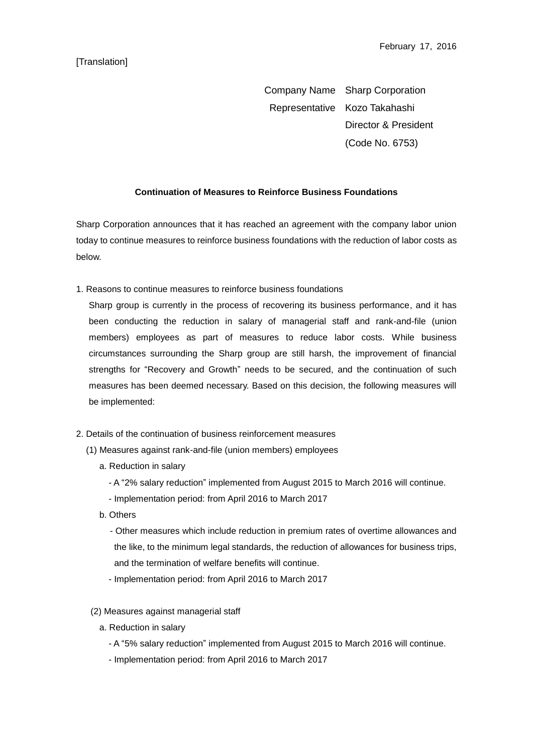## [Translation]

Company Name Sharp Corporation Representative Kozo Takahashi Director & President (Code No. 6753)

## **Continuation of Measures to Reinforce Business Foundations**

Sharp Corporation announces that it has reached an agreement with the company labor union today to continue measures to reinforce business foundations with the reduction of labor costs as below.

1. Reasons to continue measures to reinforce business foundations

Sharp group is currently in the process of recovering its business performance, and it has been conducting the reduction in salary of managerial staff and rank-and-file (union members) employees as part of measures to reduce labor costs. While business circumstances surrounding the Sharp group are still harsh, the improvement of financial strengths for "Recovery and Growth" needs to be secured, and the continuation of such measures has been deemed necessary. Based on this decision, the following measures will be implemented:

- 2. Details of the continuation of business reinforcement measures
	- (1) Measures against rank-and-file (union members) employees
		- a. Reduction in salary
			- A "2% salary reduction" implemented from August 2015 to March 2016 will continue.
			- Implementation period: from April 2016 to March 2017
		- b. Others

- Other measures which include reduction in premium rates of overtime allowances and the like, to the minimum legal standards, the reduction of allowances for business trips, and the termination of welfare benefits will continue.

- Implementation period: from April 2016 to March 2017
- (2) Measures against managerial staff
	- a. Reduction in salary
		- A "5% salary reduction" implemented from August 2015 to March 2016 will continue.
		- Implementation period: from April 2016 to March 2017